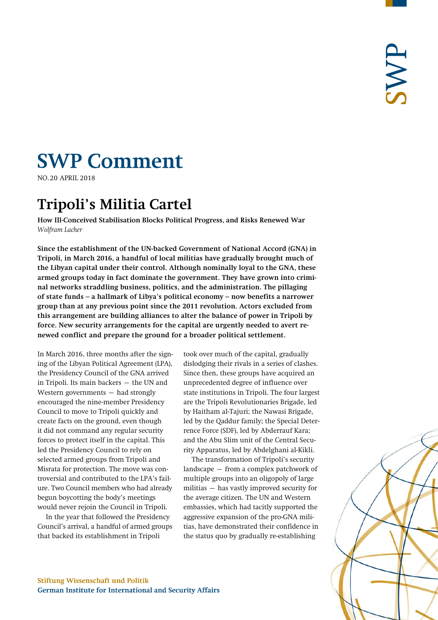# **SWP Comment**

**NO.20 APRIL 2018** 

## **Tripoli's Militia Cartel**

**How Ill-Conceived Stabilisation Blocks Political Progress, and Risks Renewed War** *Wolfram Lacher*

**Since the establishment of the UN-backed Government of National Accord (GNA) in Tripoli, in March 2016, a handful of local militias have gradually brought much of the Libyan capital under their control. Although nominally loyal to the GNA, these armed groups today in fact dominate the government. They have grown into criminal networks straddling business, politics, and the administration. The pillaging of state funds – a hallmark of Libya's political economy – now benefits a narrower group than at any previous point since the 2011 revolution. Actors excluded from this arrangement are building alliances to alter the balance of power in Tripoli by force. New security arrangements for the capital are urgently needed to avert renewed conflict and prepare the ground for a broader political settlement.**

In March 2016, three months after the signing of the Libyan Political Agreement (LPA), the Presidency Council of the GNA arrived in Tripoli. Its main backers – the UN and Western governments – had strongly encouraged the nine-member Presidency Council to move to Tripoli quickly and create facts on the ground, even though it did not command any regular security forces to protect itself in the capital. This led the Presidency Council to rely on selected armed groups from Tripoli and Misrata for protection. The move was controversial and contributed to the LPA's failure. Two Council members who had already begun boycotting the body's meetings would never rejoin the Council in Tripoli.

In the year that followed the Presidency Council's arrival, a handful of armed groups that backed its establishment in Tripoli

took over much of the capital, gradually dislodging their rivals in a series of clashes. Since then, these groups have acquired an unprecedented degree of influence over state institutions in Tripoli. The four largest are the Tripoli Revolutionaries Brigade, led by Haitham al-Tajuri; the Nawasi Brigade, led by the Qaddur family; the Special Deterrence Force (SDF), led by Abderrauf Kara; and the Abu Slim unit of the Central Security Apparatus, led by Abdelghani al-Kikli.

The transformation of Tripoli's security landscape – from a complex patchwork of multiple groups into an oligopoly of large militias – has vastly improved security for the average citizen. The UN and Western embassies, which had tacitly supported the aggressive expansion of the pro-GNA militias, have demonstrated their confidence in the status quo by gradually re-establishing



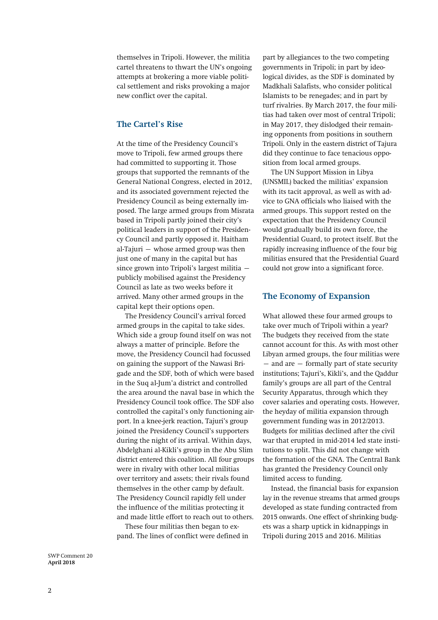themselves in Tripoli. However, the militia cartel threatens to thwart the UN's ongoing attempts at brokering a more viable political settlement and risks provoking a major new conflict over the capital.

### **The Cartel's Rise**

At the time of the Presidency Council's move to Tripoli, few armed groups there had committed to supporting it. Those groups that supported the remnants of the General National Congress, elected in 2012, and its associated government rejected the Presidency Council as being externally imposed. The large armed groups from Misrata based in Tripoli partly joined their city's political leaders in support of the Presidency Council and partly opposed it. Haitham al-Tajuri – whose armed group was then just one of many in the capital but has since grown into Tripoli's largest militia – publicly mobilised against the Presidency Council as late as two weeks before it arrived. Many other armed groups in the capital kept their options open.

The Presidency Council's arrival forced armed groups in the capital to take sides. Which side a group found itself on was not always a matter of principle. Before the move, the Presidency Council had focussed on gaining the support of the Nawasi Brigade and the SDF, both of which were based in the Suq al-Jum'a district and controlled the area around the naval base in which the Presidency Council took office. The SDF also controlled the capital's only functioning airport. In a knee-jerk reaction, Tajuri's group joined the Presidency Council's supporters during the night of its arrival. Within days, Abdelghani al-Kikli's group in the Abu Slim district entered this coalition. All four groups were in rivalry with other local militias over territory and assets; their rivals found themselves in the other camp by default. The Presidency Council rapidly fell under the influence of the militias protecting it and made little effort to reach out to others.

These four militias then began to expand. The lines of conflict were defined in part by allegiances to the two competing governments in Tripoli; in part by ideological divides, as the SDF is dominated by Madkhali Salafists, who consider political Islamists to be renegades; and in part by turf rivalries. By March 2017, the four militias had taken over most of central Tripoli; in May 2017, they dislodged their remaining opponents from positions in southern Tripoli. Only in the eastern district of Tajura did they continue to face tenacious opposition from local armed groups.

The UN Support Mission in Libya (UNSMIL) backed the militias' expansion with its tacit approval, as well as with advice to GNA officials who liaised with the armed groups. This support rested on the expectation that the Presidency Council would gradually build its own force, the Presidential Guard, to protect itself. But the rapidly increasing influence of the four big militias ensured that the Presidential Guard could not grow into a significant force.

#### **The Economy of Expansion**

What allowed these four armed groups to take over much of Tripoli within a year? The budgets they received from the state cannot account for this. As with most other Libyan armed groups, the four militias were – and are – formally part of state security institutions; Tajuri's, Kikli's, and the Qaddur family's groups are all part of the Central Security Apparatus, through which they cover salaries and operating costs. However, the heyday of militia expansion through government funding was in 2012/2013. Budgets for militias declined after the civil war that erupted in mid-2014 led state institutions to split. This did not change with the formation of the GNA. The Central Bank has granted the Presidency Council only limited access to funding.

Instead, the financial basis for expansion lay in the revenue streams that armed groups developed as state funding contracted from 2015 onwards. One effect of shrinking budgets was a sharp uptick in kidnappings in Tripoli during 2015 and 2016. Militias

SWP Comment 20 **April 2018**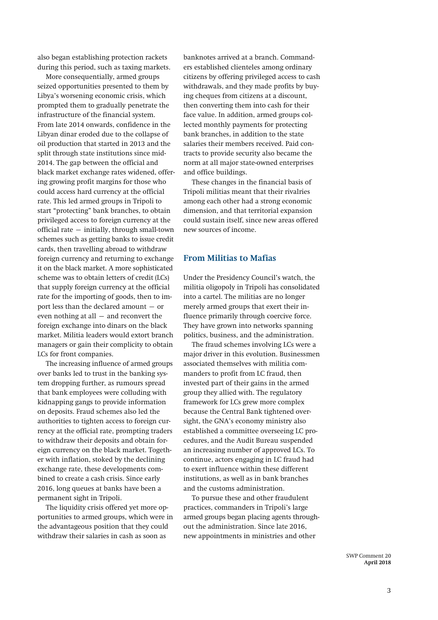also began establishing protection rackets during this period, such as taxing markets.

More consequentially, armed groups seized opportunities presented to them by Libya's worsening economic crisis, which prompted them to gradually penetrate the infrastructure of the financial system. From late 2014 onwards, confidence in the Libyan dinar eroded due to the collapse of oil production that started in 2013 and the split through state institutions since mid-2014. The gap between the official and black market exchange rates widened, offering growing profit margins for those who could access hard currency at the official rate. This led armed groups in Tripoli to start "protecting" bank branches, to obtain privileged access to foreign currency at the official rate – initially, through small-town schemes such as getting banks to issue credit cards, then travelling abroad to withdraw foreign currency and returning to exchange it on the black market. A more sophisticated scheme was to obtain letters of credit (LCs) that supply foreign currency at the official rate for the importing of goods, then to import less than the declared amount – or even nothing at all  $-$  and reconvert the foreign exchange into dinars on the black market. Militia leaders would extort branch managers or gain their complicity to obtain LCs for front companies.

The increasing influence of armed groups over banks led to trust in the banking system dropping further, as rumours spread that bank employees were colluding with kidnapping gangs to provide information on deposits. Fraud schemes also led the authorities to tighten access to foreign currency at the official rate, prompting traders to withdraw their deposits and obtain foreign currency on the black market. Together with inflation, stoked by the declining exchange rate, these developments combined to create a cash crisis. Since early 2016, long queues at banks have been a permanent sight in Tripoli.

The liquidity crisis offered yet more opportunities to armed groups, which were in the advantageous position that they could withdraw their salaries in cash as soon as

banknotes arrived at a branch. Commanders established clienteles among ordinary citizens by offering privileged access to cash withdrawals, and they made profits by buying cheques from citizens at a discount, then converting them into cash for their face value. In addition, armed groups collected monthly payments for protecting bank branches, in addition to the state salaries their members received. Paid contracts to provide security also became the norm at all major state-owned enterprises and office buildings.

These changes in the financial basis of Tripoli militias meant that their rivalries among each other had a strong economic dimension, and that territorial expansion could sustain itself, since new areas offered new sources of income.

#### **From Militias to Mafias**

Under the Presidency Council's watch, the militia oligopoly in Tripoli has consolidated into a cartel. The militias are no longer merely armed groups that exert their influence primarily through coercive force. They have grown into networks spanning politics, business, and the administration.

The fraud schemes involving LCs were a major driver in this evolution. Businessmen associated themselves with militia commanders to profit from LC fraud, then invested part of their gains in the armed group they allied with. The regulatory framework for LCs grew more complex because the Central Bank tightened oversight, the GNA's economy ministry also established a committee overseeing LC procedures, and the Audit Bureau suspended an increasing number of approved LCs. To continue, actors engaging in LC fraud had to exert influence within these different institutions, as well as in bank branches and the customs administration.

To pursue these and other fraudulent practices, commanders in Tripoli's large armed groups began placing agents throughout the administration. Since late 2016, new appointments in ministries and other

> SWP Comment 20 **April 2018**